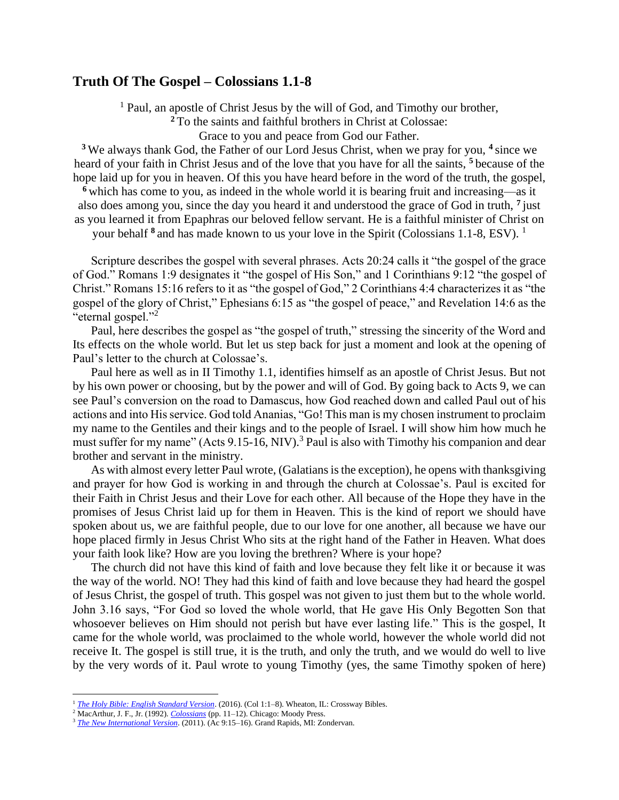## **Truth Of The Gospel – Colossians 1.1-8**

<sup>1</sup> Paul, an apostle of Christ Jesus by the will of God, and Timothy our brother,

**<sup>2</sup>** To the saints and faithful brothers in Christ at Colossae:

Grace to you and peace from God our Father.

**<sup>3</sup>** We always thank God, the Father of our Lord Jesus Christ, when we pray for you, **<sup>4</sup>** since we heard of your faith in Christ Jesus and of the love that you have for all the saints, **<sup>5</sup>** because of the hope laid up for you in heaven. Of this you have heard before in the word of the truth, the gospel,

**<sup>6</sup>** which has come to you, as indeed in the whole world it is bearing fruit and increasing—as it also does among you, since the day you heard it and understood the grace of God in truth, **<sup>7</sup>** just as you learned it from Epaphras our beloved fellow servant. He is a faithful minister of Christ on

your behalf <sup>8</sup> and has made known to us your love in the Spirit (Colossians 1.1-8, ESV). <sup>1</sup>

Scripture describes the gospel with several phrases. Acts 20:24 calls it "the gospel of the grace of God." Romans 1:9 designates it "the gospel of His Son," and 1 Corinthians 9:12 "the gospel of Christ." Romans 15:16 refers to it as "the gospel of God," 2 Corinthians 4:4 characterizes it as "the gospel of the glory of Christ," Ephesians 6:15 as "the gospel of peace," and Revelation 14:6 as the "eternal gospel."<sup>2</sup>

Paul, here describes the gospel as "the gospel of truth," stressing the sincerity of the Word and Its effects on the whole world. But let us step back for just a moment and look at the opening of Paul's letter to the church at Colossae's.

Paul here as well as in II Timothy 1.1, identifies himself as an apostle of Christ Jesus. But not by his own power or choosing, but by the power and will of God. By going back to Acts 9, we can see Paul's conversion on the road to Damascus, how God reached down and called Paul out of his actions and into His service. God told Ananias, "Go! This man is my chosen instrument to proclaim my name to the Gentiles and their kings and to the people of Israel. I will show him how much he must suffer for my name" (Acts 9.15-16, NIV).<sup>3</sup> Paul is also with Timothy his companion and dear brother and servant in the ministry.

As with almost every letter Paul wrote, (Galatians is the exception), he opens with thanksgiving and prayer for how God is working in and through the church at Colossae's. Paul is excited for their Faith in Christ Jesus and their Love for each other. All because of the Hope they have in the promises of Jesus Christ laid up for them in Heaven. This is the kind of report we should have spoken about us, we are faithful people, due to our love for one another, all because we have our hope placed firmly in Jesus Christ Who sits at the right hand of the Father in Heaven. What does your faith look like? How are you loving the brethren? Where is your hope?

The church did not have this kind of faith and love because they felt like it or because it was the way of the world. NO! They had this kind of faith and love because they had heard the gospel of Jesus Christ, the gospel of truth. This gospel was not given to just them but to the whole world. John 3.16 says, "For God so loved the whole world, that He gave His Only Begotten Son that whosoever believes on Him should not perish but have ever lasting life." This is the gospel, It came for the whole world, was proclaimed to the whole world, however the whole world did not receive It. The gospel is still true, it is the truth, and only the truth, and we would do well to live by the very words of it. Paul wrote to young Timothy (yes, the same Timothy spoken of here)

<sup>&</sup>lt;sup>1</sup> *[The Holy Bible: English Standard Version](https://ref.ly/logosres/esv?ref=BibleESV.Col1.1&off=9&ctx=Greeting%0a~1%C2%A0Paul%2c+a%EF%BB%BFan+apostle+of+Christ+).* (2016). (Col 1:1–8). Wheaton, IL: Crossway Bibles.

<sup>2</sup> MacArthur, J. F., Jr. (1992). *[Colossians](https://ref.ly/logosres/colmntc?ref=Bible.Col1.1-8&off=888&ctx=the+Spirit.+(1%3a1%E2%80%938)%0a~Scripture+describes+)* (pp. 11–12). Chicago: Moody Press.

<sup>&</sup>lt;sup>3</sup> [The New International Version](https://ref.ly/logosres/niv2011?ref=BibleNIV.Ac9.15&off=34&ctx=d+said+to+Ananias%2c+%E2%80%9C~Go%E2%80%A2!+This+man+is+my+). (2011). (Ac 9:15-16). Grand Rapids, MI: Zondervan.